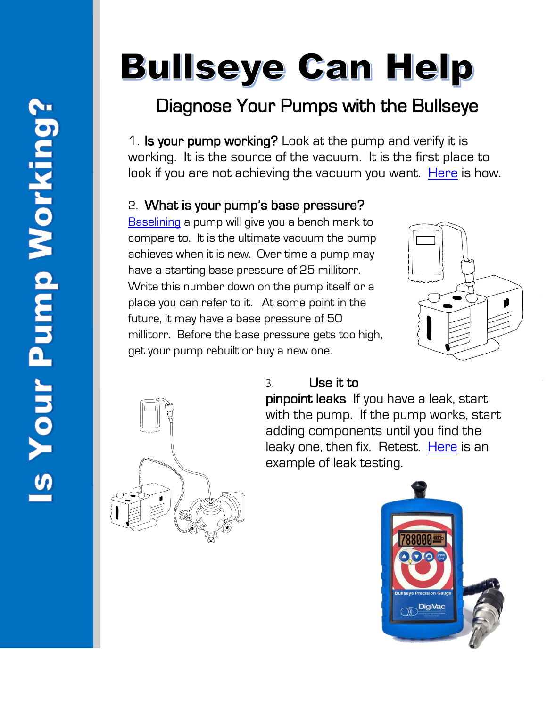# **Bullseye Can Help**

# Diagnose Your Pumps with the Bullseye

1. Is your pump working? Look at the pump and verify it is working. It is the source of the vacuum. It is the first place to look if you are not achieving the vacuum you want. [Here](https://www.youtube.com/watch?v=DB0QrkileQQ) is how.

## 2. What is your pump's base pressure?

[Baselining](http://blog.digivac.com/baseline-your-vacuum-pump-to-make-troubleshooting-easier) a pump will give you a bench mark to compare to. It is the ultimate vacuum the pump achieves when it is new. Over time a pump may have a starting base pressure of 25 millitorr. Write this number down on the pump itself or a place you can refer to it. At some point in the future, it may have a base pressure of 50 millitorr. Before the base pressure gets too high, get your pump rebuilt or buy a new one.





### 3. Use it to

pinpoint leaks If you have a leak, start with the pump. If the pump works, start adding components until you find the leaky one, then fix. Retest. [Here](https://www.youtube.com/watch?v=BHQwFRKiAgM&feature=youtu.be) is an example of leak testing.